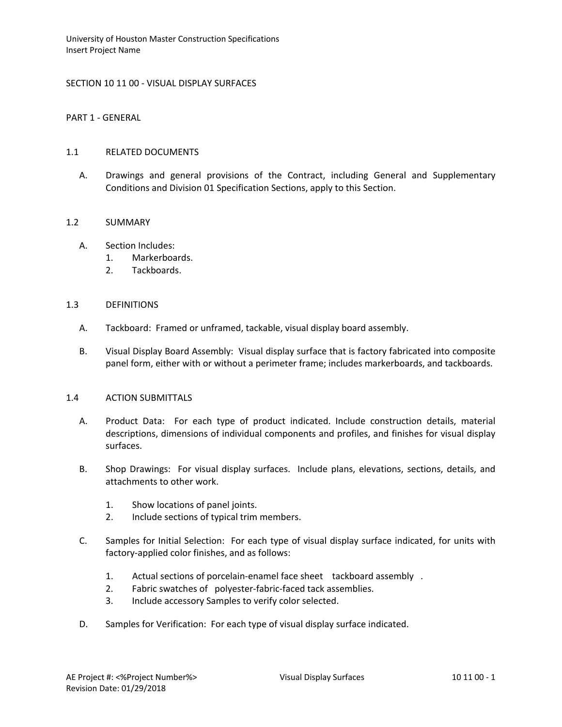## SECTION 10 11 00 - VISUAL DISPLAY SURFACES

PART 1 - GENERAL

## 1.1 RELATED DOCUMENTS

A. Drawings and general provisions of the Contract, including General and Supplementary Conditions and Division 01 Specification Sections, apply to this Section.

## 1.2 SUMMARY

- A. Section Includes:
	- 1. Markerboards.
	- 2. Tackboards.

## 1.3 DEFINITIONS

- A. Tackboard: Framed or unframed, tackable, visual display board assembly.
- B. Visual Display Board Assembly: Visual display surface that is factory fabricated into composite panel form, either with or without a perimeter frame; includes markerboards, and tackboards.

### 1.4 ACTION SUBMITTALS

- A. Product Data: For each type of product indicated. Include construction details, material descriptions, dimensions of individual components and profiles, and finishes for visual display surfaces.
- B. Shop Drawings: For visual display surfaces. Include plans, elevations, sections, details, and attachments to other work.
	- 1. Show locations of panel joints.
	- 2. Include sections of typical trim members.
- C. Samples for Initial Selection: For each type of visual display surface indicated, for units with factory-applied color finishes, and as follows:
	- 1. Actual sections of porcelain-enamel face sheet tackboard assembly .
	- 2. Fabric swatches of polyester-fabric-faced tack assemblies.
	- 3. Include accessory Samples to verify color selected.
- D. Samples for Verification: For each type of visual display surface indicated.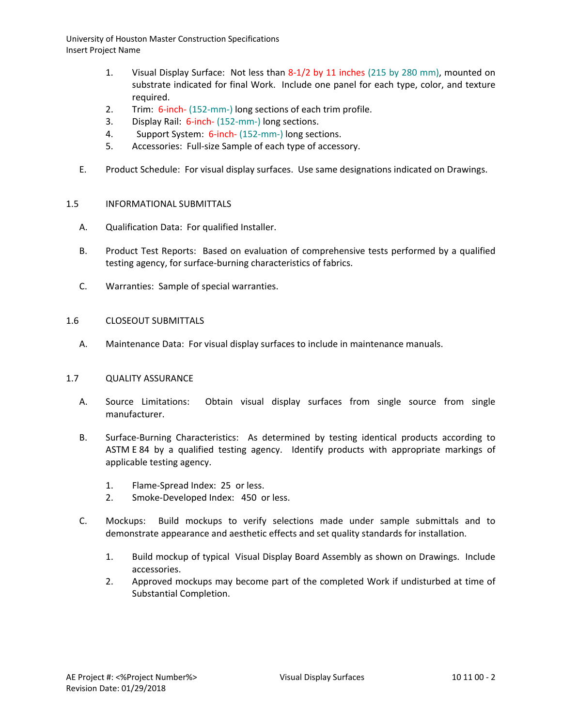- 1. Visual Display Surface: Not less than 8-1/2 by 11 inches (215 by 280 mm), mounted on substrate indicated for final Work. Include one panel for each type, color, and texture required.
- 2. Trim: 6-inch- (152-mm-) long sections of each trim profile.
- 3. Display Rail: 6-inch- (152-mm-) long sections.
- 4. Support System: 6-inch- (152-mm-) long sections.
- 5. Accessories: Full-size Sample of each type of accessory.
- E. Product Schedule: For visual display surfaces. Use same designations indicated on Drawings.

## 1.5 INFORMATIONAL SUBMITTALS

- A. Qualification Data: For qualified Installer.
- B. Product Test Reports: Based on evaluation of comprehensive tests performed by a qualified testing agency, for surface-burning characteristics of fabrics.
- C. Warranties: Sample of special warranties.

### 1.6 CLOSEOUT SUBMITTALS

A. Maintenance Data: For visual display surfaces to include in maintenance manuals.

### 1.7 QUALITY ASSURANCE

- A. Source Limitations: Obtain visual display surfaces from single source from single manufacturer.
- B. Surface-Burning Characteristics: As determined by testing identical products according to ASTM E 84 by a qualified testing agency. Identify products with appropriate markings of applicable testing agency.
	- 1. Flame-Spread Index: 25 or less.
	- 2. Smoke-Developed Index: 450 or less.
- C. Mockups: Build mockups to verify selections made under sample submittals and to demonstrate appearance and aesthetic effects and set quality standards for installation.
	- 1. Build mockup of typical Visual Display Board Assembly as shown on Drawings. Include accessories.
	- 2. Approved mockups may become part of the completed Work if undisturbed at time of Substantial Completion.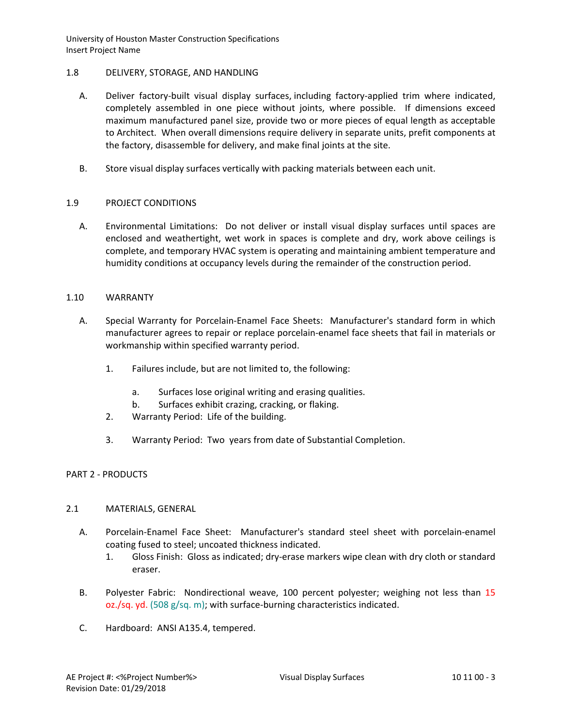# 1.8 DELIVERY, STORAGE, AND HANDLING

- A. Deliver factory-built visual display surfaces, including factory-applied trim where indicated, completely assembled in one piece without joints, where possible. If dimensions exceed maximum manufactured panel size, provide two or more pieces of equal length as acceptable to Architect. When overall dimensions require delivery in separate units, prefit components at the factory, disassemble for delivery, and make final joints at the site.
- B. Store visual display surfaces vertically with packing materials between each unit.

# 1.9 PROJECT CONDITIONS

A. Environmental Limitations: Do not deliver or install visual display surfaces until spaces are enclosed and weathertight, wet work in spaces is complete and dry, work above ceilings is complete, and temporary HVAC system is operating and maintaining ambient temperature and humidity conditions at occupancy levels during the remainder of the construction period.

# 1.10 WARRANTY

- A. Special Warranty for Porcelain-Enamel Face Sheets: Manufacturer's standard form in which manufacturer agrees to repair or replace porcelain-enamel face sheets that fail in materials or workmanship within specified warranty period.
	- 1. Failures include, but are not limited to, the following:
		- a. Surfaces lose original writing and erasing qualities.
		- b. Surfaces exhibit crazing, cracking, or flaking.
	- 2. Warranty Period: Life of the building.
	- 3. Warranty Period: Two years from date of Substantial Completion.

# PART 2 - PRODUCTS

# 2.1 MATERIALS, GENERAL

- A. Porcelain-Enamel Face Sheet: Manufacturer's standard steel sheet with porcelain-enamel coating fused to steel; uncoated thickness indicated.
	- 1. Gloss Finish: Gloss as indicated; dry-erase markers wipe clean with dry cloth or standard eraser.
- B. Polyester Fabric: Nondirectional weave, 100 percent polyester; weighing not less than 15 oz./sq. yd. (508 g/sq. m); with surface-burning characteristics indicated.
- C. Hardboard: ANSI A135.4, tempered.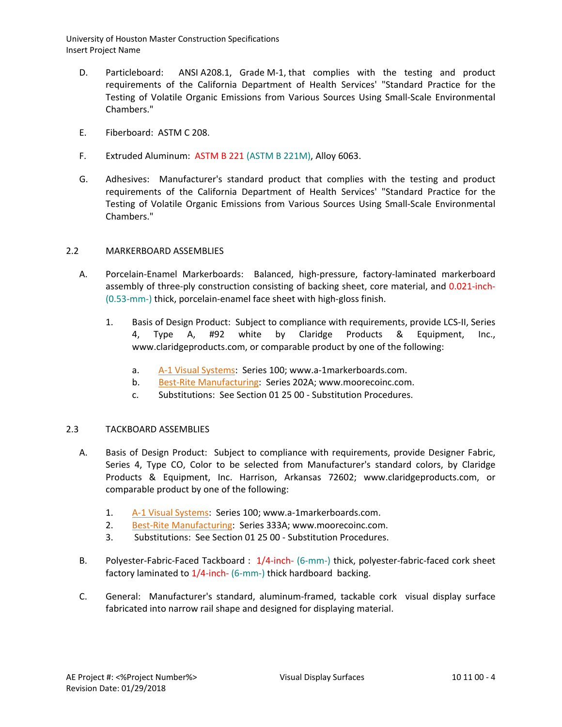- D. Particleboard: ANSI A208.1, Grade M-1, that complies with the testing and product requirements of the California Department of Health Services' "Standard Practice for the Testing of Volatile Organic Emissions from Various Sources Using Small-Scale Environmental Chambers."
- E. Fiberboard: ASTM C 208.
- F. Extruded Aluminum: ASTM B 221 (ASTM B 221M), Alloy 6063.
- G. Adhesives: Manufacturer's standard product that complies with the testing and product requirements of the California Department of Health Services' "Standard Practice for the Testing of Volatile Organic Emissions from Various Sources Using Small-Scale Environmental Chambers."

# 2.2 MARKERBOARD ASSEMBLIES

- A. Porcelain-Enamel Markerboards: Balanced, high-pressure, factory-laminated markerboard assembly of three-ply construction consisting of backing sheet, core material, and 0.021-inch- (0.53-mm-) thick, porcelain-enamel face sheet with high-gloss finish.
	- 1. Basis of Design Product: Subject to compliance with requirements, provide LCS-II, Series 4, Type A, #92 white by Claridge Products & Equipment, Inc., www.claridgeproducts.com, or comparable product by one of the following:
		- a. [A-1 Visual Systems:](http://www.specagent.com/LookUp/?uid=123456791387&mf=04&src=wd) Series 100; www.a-1markerboards.com.
		- b. [Best-Rite Manufacturing:](http://www.specagent.com/LookUp/?uid=123456791436&mf=04&src=wd) Series 202A; www.moorecoinc.com.
		- c. Substitutions: See Section 01 25 00 Substitution Procedures.

# 2.3 TACKBOARD ASSEMBLIES

- A. Basis of Design Product: Subject to compliance with requirements, provide Designer Fabric, Series 4, Type CO, Color to be selected from Manufacturer's standard colors, by Claridge Products & Equipment, Inc. Harrison, Arkansas 72602; www.claridgeproducts.com, or comparable product by one of the following:
	- 1. [A-1 Visual Systems:](http://www.specagent.com/LookUp/?uid=123456791472&mf=04&src=wd) Series 100; www.a-1markerboards.com.
	- 2. [Best-Rite Manufacturing:](http://www.specagent.com/LookUp/?uid=123456791482&mf=04&src=wd) Series 333A; www.moorecoinc.com.
	- 3. Substitutions: See Section 01 25 00 Substitution Procedures.
- B. Polyester-Fabric-Faced Tackboard : 1/4-inch- (6-mm-) thick, polyester-fabric-faced cork sheet factory laminated to 1/4-inch- (6-mm-) thick hardboard backing.
- C. General: Manufacturer's standard, aluminum-framed, tackable cork visual display surface fabricated into narrow rail shape and designed for displaying material.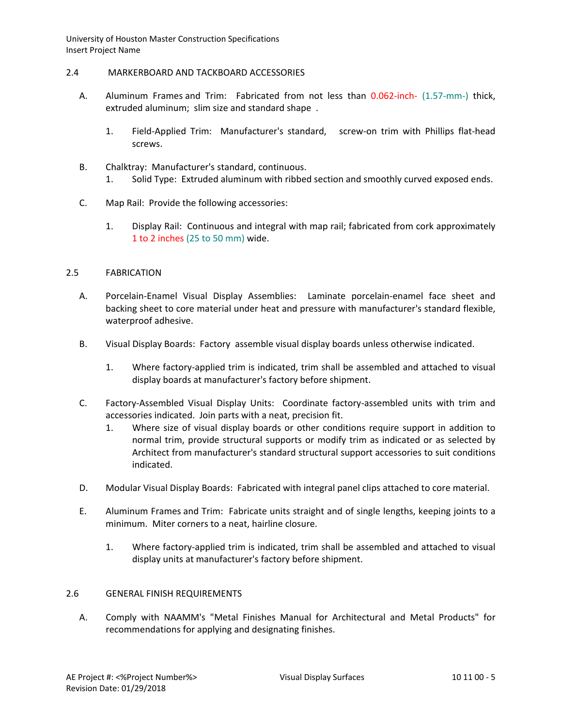## 2.4 MARKERBOARD AND TACKBOARD ACCESSORIES

- A. Aluminum Frames and Trim: Fabricated from not less than 0.062-inch- (1.57-mm-) thick, extruded aluminum; slim size and standard shape .
	- 1. Field-Applied Trim: Manufacturer's standard, screw-on trim with Phillips flat-head screws.
- B. Chalktray: Manufacturer's standard, continuous.
	- 1. Solid Type: Extruded aluminum with ribbed section and smoothly curved exposed ends.
- C. Map Rail: Provide the following accessories:
	- 1. Display Rail: Continuous and integral with map rail; fabricated from cork approximately 1 to 2 inches (25 to 50 mm) wide.

# 2.5 FABRICATION

- A. Porcelain-Enamel Visual Display Assemblies: Laminate porcelain-enamel face sheet and backing sheet to core material under heat and pressure with manufacturer's standard flexible, waterproof adhesive.
- B. Visual Display Boards: Factory assemble visual display boards unless otherwise indicated.
	- 1. Where factory-applied trim is indicated, trim shall be assembled and attached to visual display boards at manufacturer's factory before shipment.
- C. Factory-Assembled Visual Display Units: Coordinate factory-assembled units with trim and accessories indicated. Join parts with a neat, precision fit.
	- 1. Where size of visual display boards or other conditions require support in addition to normal trim, provide structural supports or modify trim as indicated or as selected by Architect from manufacturer's standard structural support accessories to suit conditions indicated.
- D. Modular Visual Display Boards: Fabricated with integral panel clips attached to core material.
- E. Aluminum Frames and Trim: Fabricate units straight and of single lengths, keeping joints to a minimum. Miter corners to a neat, hairline closure.
	- 1. Where factory-applied trim is indicated, trim shall be assembled and attached to visual display units at manufacturer's factory before shipment.

# 2.6 GENERAL FINISH REQUIREMENTS

A. Comply with NAAMM's "Metal Finishes Manual for Architectural and Metal Products" for recommendations for applying and designating finishes.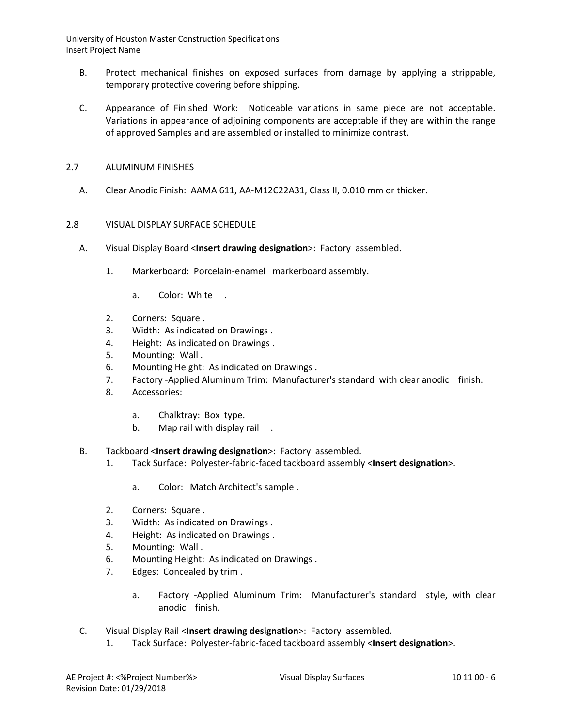- B. Protect mechanical finishes on exposed surfaces from damage by applying a strippable, temporary protective covering before shipping.
- C. Appearance of Finished Work: Noticeable variations in same piece are not acceptable. Variations in appearance of adjoining components are acceptable if they are within the range of approved Samples and are assembled or installed to minimize contrast.
- 2.7 ALUMINUM FINISHES
	- A. Clear Anodic Finish: AAMA 611, AA-M12C22A31, Class II, 0.010 mm or thicker.

# 2.8 VISUAL DISPLAY SURFACE SCHEDULE

- A. Visual Display Board <**Insert drawing designation**>: Factory assembled.
	- 1. Markerboard: Porcelain-enamel markerboard assembly.
		- a. Color: White .
	- 2. Corners: Square .
	- 3. Width: As indicated on Drawings .
	- 4. Height: As indicated on Drawings .
	- 5. Mounting: Wall .
	- 6. Mounting Height: As indicated on Drawings .
	- 7. Factory -Applied Aluminum Trim: Manufacturer's standard with clear anodic finish.
	- 8. Accessories:
		- a. Chalktray: Box type.
		- b. Map rail with display rail .
- B. Tackboard <**Insert drawing designation**>: Factory assembled.
	- 1. Tack Surface: Polyester-fabric-faced tackboard assembly <**Insert designation**>.
		- a. Color: Match Architect's sample .
	- 2. Corners: Square .
	- 3. Width: As indicated on Drawings .
	- 4. Height: As indicated on Drawings .
	- 5. Mounting: Wall .
	- 6. Mounting Height: As indicated on Drawings .
	- 7. Edges: Concealed by trim .
		- a. Factory -Applied Aluminum Trim: Manufacturer's standard style, with clear anodic finish.
- C. Visual Display Rail <**Insert drawing designation**>: Factory assembled.
	- 1. Tack Surface: Polyester-fabric-faced tackboard assembly <**Insert designation**>.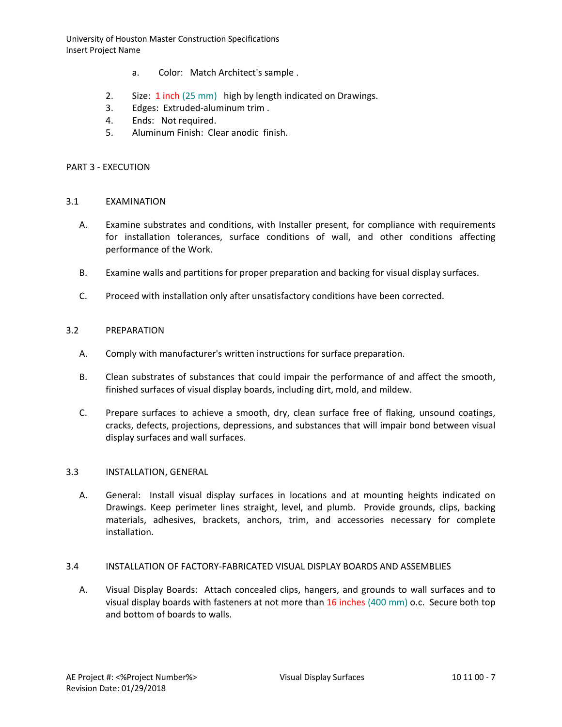- a. Color: Match Architect's sample .
- 2. Size: 1 inch (25 mm) high by length indicated on Drawings.
- 3. Edges: Extruded-aluminum trim .
- 4. Ends: Not required.
- 5. Aluminum Finish: Clear anodic finish.

#### PART 3 - EXECUTION

#### 3.1 EXAMINATION

- A. Examine substrates and conditions, with Installer present, for compliance with requirements for installation tolerances, surface conditions of wall, and other conditions affecting performance of the Work.
- B. Examine walls and partitions for proper preparation and backing for visual display surfaces.
- C. Proceed with installation only after unsatisfactory conditions have been corrected.

#### 3.2 PREPARATION

- A. Comply with manufacturer's written instructions for surface preparation.
- B. Clean substrates of substances that could impair the performance of and affect the smooth, finished surfaces of visual display boards, including dirt, mold, and mildew.
- C. Prepare surfaces to achieve a smooth, dry, clean surface free of flaking, unsound coatings, cracks, defects, projections, depressions, and substances that will impair bond between visual display surfaces and wall surfaces.

### 3.3 INSTALLATION, GENERAL

A. General: Install visual display surfaces in locations and at mounting heights indicated on Drawings. Keep perimeter lines straight, level, and plumb. Provide grounds, clips, backing materials, adhesives, brackets, anchors, trim, and accessories necessary for complete installation.

### 3.4 INSTALLATION OF FACTORY-FABRICATED VISUAL DISPLAY BOARDS AND ASSEMBLIES

A. Visual Display Boards: Attach concealed clips, hangers, and grounds to wall surfaces and to visual display boards with fasteners at not more than 16 inches (400 mm) o.c. Secure both top and bottom of boards to walls.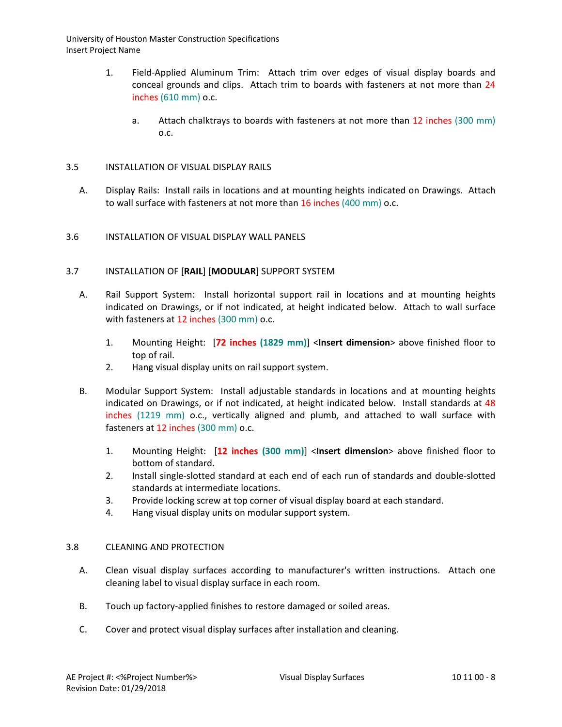- 1. Field-Applied Aluminum Trim: Attach trim over edges of visual display boards and conceal grounds and clips. Attach trim to boards with fasteners at not more than 24 inches (610 mm) o.c.
	- a. Attach chalktrays to boards with fasteners at not more than 12 inches (300 mm) o.c.

# 3.5 INSTALLATION OF VISUAL DISPLAY RAILS

A. Display Rails: Install rails in locations and at mounting heights indicated on Drawings. Attach to wall surface with fasteners at not more than 16 inches (400 mm) o.c.

# 3.6 INSTALLATION OF VISUAL DISPLAY WALL PANELS

# 3.7 INSTALLATION OF [**RAIL**] [**MODULAR**] SUPPORT SYSTEM

- A. Rail Support System: Install horizontal support rail in locations and at mounting heights indicated on Drawings, or if not indicated, at height indicated below. Attach to wall surface with fasteners at 12 inches (300 mm) o.c.
	- 1. Mounting Height: [**72 inches (1829 mm)**] <**Insert dimension**> above finished floor to top of rail.
	- 2. Hang visual display units on rail support system.
- B. Modular Support System: Install adjustable standards in locations and at mounting heights indicated on Drawings, or if not indicated, at height indicated below. Install standards at 48 inches (1219 mm) o.c., vertically aligned and plumb, and attached to wall surface with fasteners at 12 inches (300 mm) o.c.
	- 1. Mounting Height: [**12 inches (300 mm)**] <**Insert dimension**> above finished floor to bottom of standard.
	- 2. Install single-slotted standard at each end of each run of standards and double-slotted standards at intermediate locations.
	- 3. Provide locking screw at top corner of visual display board at each standard.
	- 4. Hang visual display units on modular support system.

# 3.8 CLEANING AND PROTECTION

- A. Clean visual display surfaces according to manufacturer's written instructions. Attach one cleaning label to visual display surface in each room.
- B. Touch up factory-applied finishes to restore damaged or soiled areas.
- C. Cover and protect visual display surfaces after installation and cleaning.